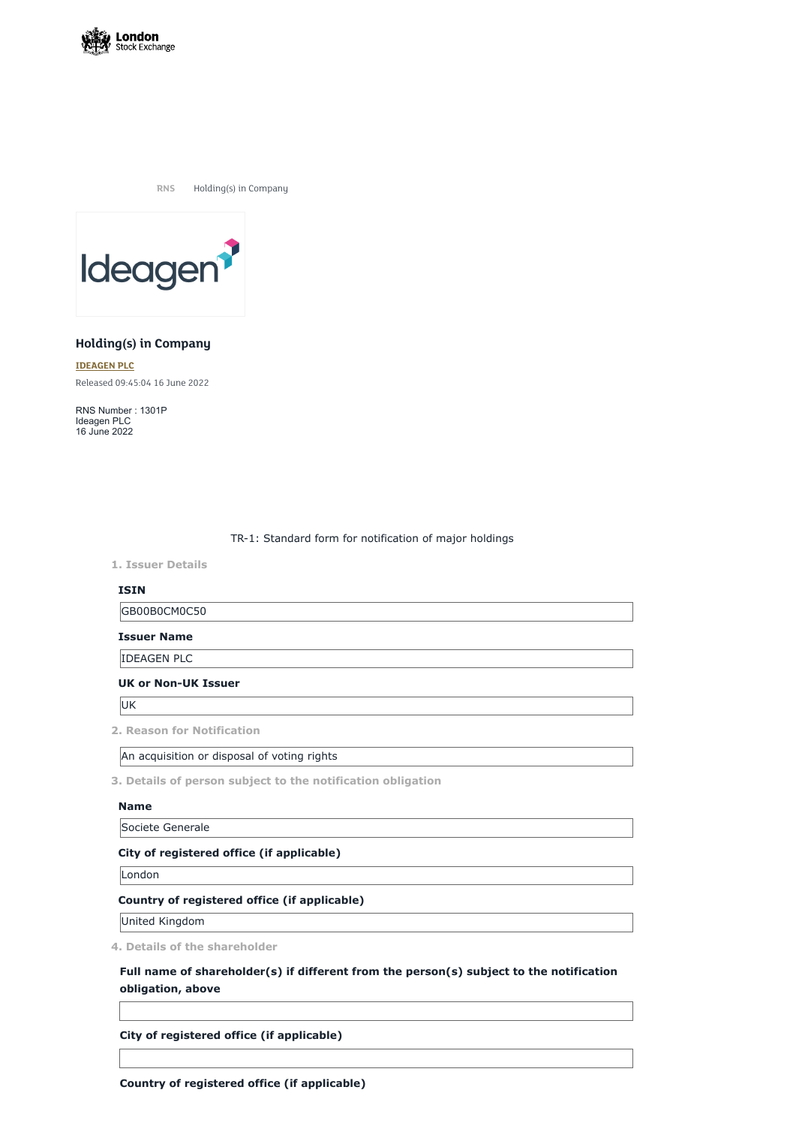

**RNS** Holding(s) in Company



# **Holding(s) in Company**

**[IDEAGEN](https://www.londonstockexchange.com/stock/IDEA/ideagen-plc) PLC** Released 09:45:04 16 June 2022

RNS Number : 1301P Ideagen PLC 16 June 2022

TR-1: Standard form for notification of major holdings

**1. Issuer Details**

### **ISIN**

GB00B0CM0C50

**Issuer Name**

IDEAGEN PLC

## **UK or Non-UK Issuer**

UK

**2. Reason for Notification**

An acquisition or disposal of voting rights

**3. Details of person subject to the notification obligation**

#### **Name**

Societe Generale

#### **City of registered office (if applicable)**

London

## **Country of registered office (if applicable)**

United Kingdom

**4. Details of the shareholder**

**Full name of shareholder(s) if different from the person(s) subject to the notification obligation, above**

**City of registered office (if applicable)**

**Country of registered office (if applicable)**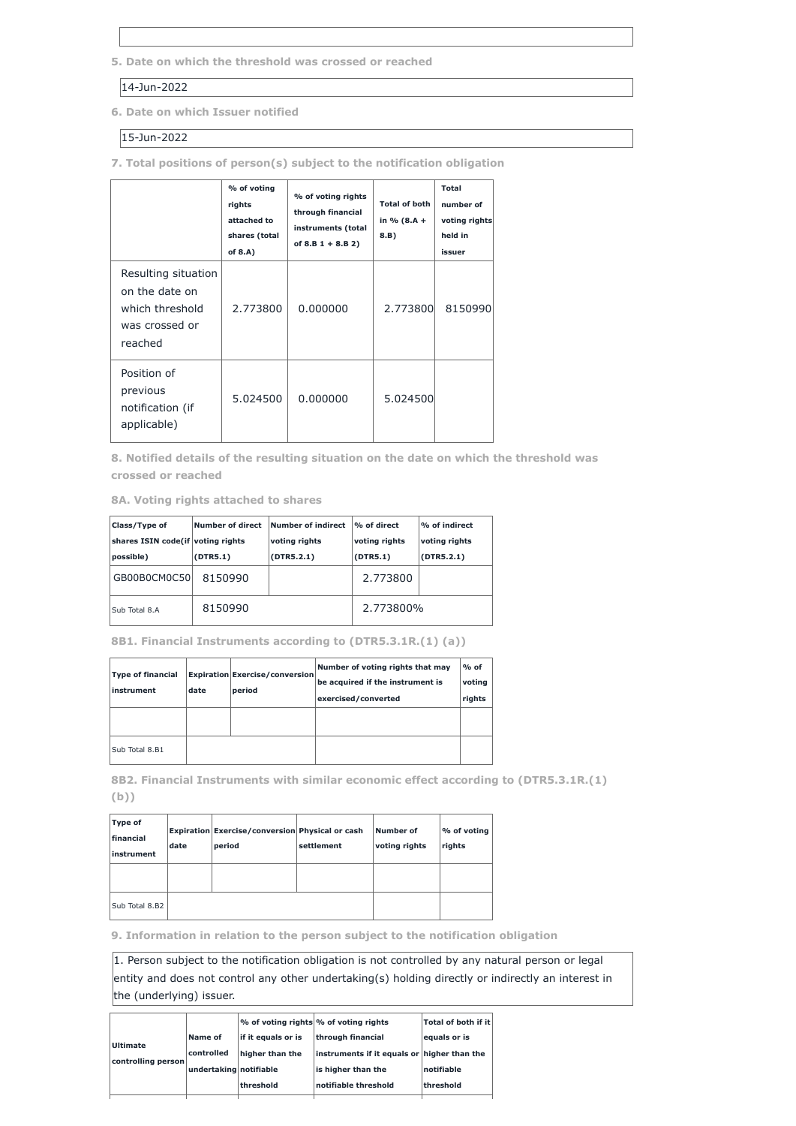**5. Date on which the threshold was crossed or reached**

# 14-Jun-2022

**6. Date on which Issuer notified**

## 15-Jun-2022

**7. Total positions of person(s) subject to the notification obligation**

|                                                                                       | % of voting<br>rights<br>attached to<br>shares (total<br>of $8.A$ ) | % of voting rights<br>through financial<br>instruments (total<br>of $8.B 1 + 8.B 2)$ | <b>Total of both</b><br>in % $(8.A +$<br>8.B) | <b>Total</b><br>number of<br>voting rights<br>held in<br>issuer |
|---------------------------------------------------------------------------------------|---------------------------------------------------------------------|--------------------------------------------------------------------------------------|-----------------------------------------------|-----------------------------------------------------------------|
| Resulting situation<br>on the date on<br>which threshold<br>was crossed or<br>reached | 2.773800                                                            | 0.000000                                                                             | 2.773800                                      | 8150990                                                         |
| Position of<br>previous<br>notification (if<br>applicable)                            | 5.024500                                                            | 0.000000                                                                             | 5.024500                                      |                                                                 |

**8. Notified details of the resulting situation on the date on which the threshold was crossed or reached**

**8A. Voting rights attached to shares**

| Class/Type of<br>shares ISIN code(if voting rights<br>possible) | Number of direct<br>(DTR5.1) | Number of indirect<br>voting rights<br>(DTR5.2.1) | % of direct<br>voting rights<br>(DTR5.1) | $\mathsf{I}\mathsf{%}$ of indirect<br>voting rights<br>(DTR5.2.1) |
|-----------------------------------------------------------------|------------------------------|---------------------------------------------------|------------------------------------------|-------------------------------------------------------------------|
| GB00B0CM0C50                                                    | 8150990                      |                                                   | 2.773800                                 |                                                                   |
| Sub Total 8.A                                                   | 8150990                      |                                                   | 2.773800%                                |                                                                   |

## **8B1. Financial Instruments according to (DTR5.3.1R.(1) (a))**

| <b>Type of financial</b><br>instrument | date | <b>Expiration Exercise/conversion</b><br>period | Number of voting rights that may<br>be acquired if the instrument is<br>exercised/converted | $%$ of<br>voting<br>rights |
|----------------------------------------|------|-------------------------------------------------|---------------------------------------------------------------------------------------------|----------------------------|
|                                        |      |                                                 |                                                                                             |                            |
| Sub Total 8.B1                         |      |                                                 |                                                                                             |                            |

**8B2. Financial Instruments with similar economic effect according to (DTR5.3.1R.(1) (b))**

| Type of<br>financial<br>instrument | date | <b>Expiration Exercise/conversion Physical or cash</b><br>period | settlement | Number of<br>voting rights | % of voting<br>rights |
|------------------------------------|------|------------------------------------------------------------------|------------|----------------------------|-----------------------|
|                                    |      |                                                                  |            |                            |                       |
| Sub Total 8.B2                     |      |                                                                  |            |                            |                       |

**9. Information in relation to the person subject to the notification obligation**

1. Person subject to the notification obligation is not controlled by any natural person or legal entity and does not control any other undertaking(s) holding directly or indirectly an interest in the (underlying) issuer.

|                                       |                        | $\sim$ of voting rights $\%$ of voting rights |                                             | Total of both if it |
|---------------------------------------|------------------------|-----------------------------------------------|---------------------------------------------|---------------------|
| <b>Ultimate</b><br>controlling person | Name of                | lif it equals or is                           | through financial                           | equals or is        |
|                                       | controlled             | higher than the                               | instruments if it equals or higher than the |                     |
|                                       | undertaking notifiable |                                               | is higher than the                          | notifiable          |
|                                       |                        | threshold                                     | notifiable threshold                        | threshold           |
|                                       |                        |                                               |                                             |                     |